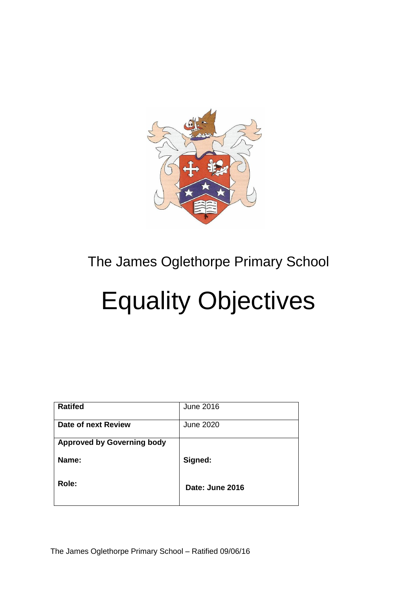

## The James Oglethorpe Primary School

## Equality Objectives

| <b>Ratifed</b>                    | June 2016       |
|-----------------------------------|-----------------|
| Date of next Review               | June 2020       |
| <b>Approved by Governing body</b> |                 |
| Name:                             | Signed:         |
| Role:                             | Date: June 2016 |